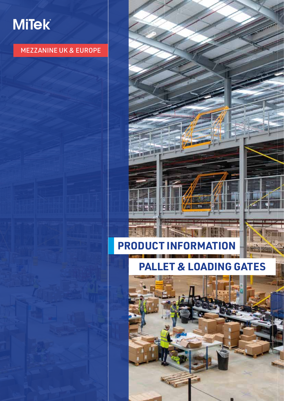# **MiTek**

#### MEZZANINE UK & EUROPE

## **PRODUCT INFORMATION**

mal

### **PALLET & LOADING GATES**

可图

w.